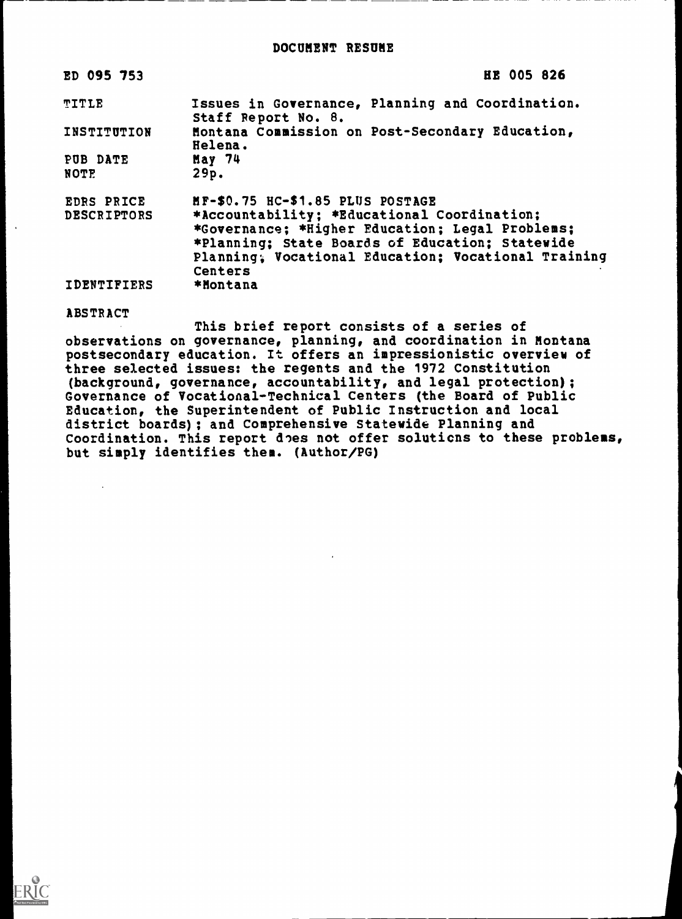| ED 095 753                              | HE 005 826                                                                                                                                                                                                                                              |
|-----------------------------------------|---------------------------------------------------------------------------------------------------------------------------------------------------------------------------------------------------------------------------------------------------------|
| TITLE                                   | Issues in Governance, Planning and Coordination.<br>Staff Report No. 8.                                                                                                                                                                                 |
| INSTITUTION                             | Montana Commission on Post-Secondary Education,<br>Helena.                                                                                                                                                                                              |
| PUB DATE<br><b>NOTE</b>                 | <b>May 74</b><br>29p.                                                                                                                                                                                                                                   |
| <b>EDRS PRICE</b><br><b>DESCRIPTORS</b> | MF-\$0.75 HC-\$1.85 PLUS POSTAGE<br>*Accountability; *Educational Coordination;<br>*Governance; *Higher Education; Legal Problems;<br>*Planning; State Boards of Education; Statewide<br>Planning; Vocational Education; Vocational Training<br>Centers |
| IDENTIFIERS                             | *Hontana                                                                                                                                                                                                                                                |

ABSTRACT

This brief report consists of a series of observations on governance, planning, and coordination in Montana postsecondary education. It offers an impressionistic overview of three selected issues: the regents and the 1972 Constitution (background, governance, accountability, and legal protection); Governance of Vocational-Technical Centers (the Board of Public Education, the Superintendent of Public Instruction and local district boards); and Comprehensive Statewide Planning and Coordination. This report does not offer soluticns to these problems, but simply identifies them. (Author/PG)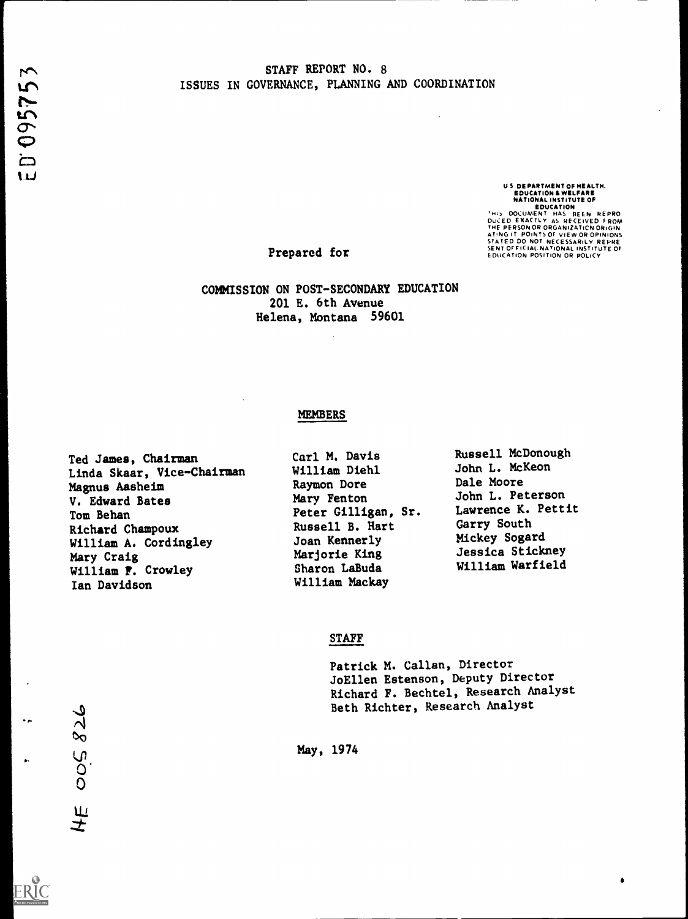# STAFF REPORT NO. 8 ISSUES IN GOVERNANCE, PLANNING AND COORDINATION

US DEPARTMENT OF HEALTH.<br>
EDICATION & WELFARE<br>
NATIONAL INSTITUTE OF<br>
EDICATION<br>
THIS DOCUMENT HAS BEEN REPRO<br>
DUCED EXACTLY AS RECEIVED FROM<br>
THE PERSON OR ORGANIZATION ORIGIN<br>
ATING IT POINTS OF VIEW OR OPINIONS<br>
SENT OF

Prepared for

COMMISSION ON POST-SECONDARY EDUCATION 201 E. 6th Avenue Helena, Montana 59601

### MEMBERS

Ted James, Chairman Linda Skaar, Vice-Chairman Magnus Aasheim V. Edward Bates Tom Behan Richard Champoux William A. Cordingley Mary Craig William F. Crowley Ian Davidson

Carl M. Davis William Diehl Raymon Dore Mary Fenton Peter Gilligan, Sr. Russell B. Hart Joan Kennerly Marjorie King Sharon LaBuda William Mackay

Russell McDonough John L. McKeon Dale Moore John L. Peterson Lawrence K. Pettit Garry South Mickey Sogard Jessica Stickney William Warfield

 $\bullet$ 

### STAFF

Patrick M. Callan, Director JoEllen Estenson, Deputy Director Richard F. Bechtel, Research Analyst Beth Richter, Research Analyst

May, 1974

 $\boldsymbol{\gamma}$  and  $\boldsymbol{\gamma}$  $\mathbf{Q}$ <sup>r</sup>. 0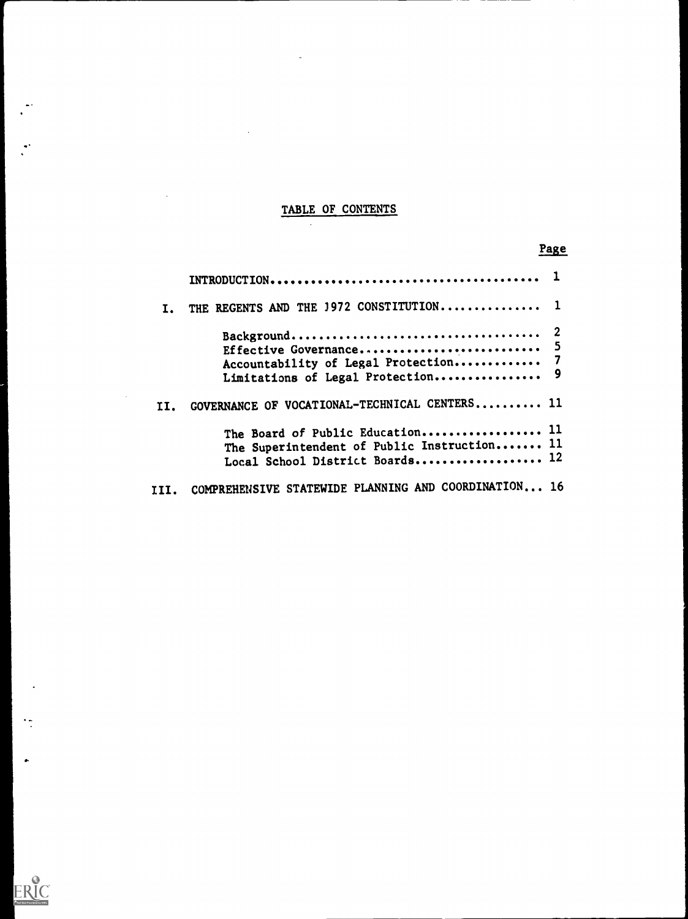# TABLE OF CONTENTS

 $\bar{\beta}$ 

L.

 $\ddot{\cdot}$ 

 $\ddot{\phantom{a}}$ 

 $\frac{1}{\sqrt{2}}$ 

 $\bullet$ 

ERIC

 $\bar{\beta}$ 

 $\sim$ 

# Page

|  | THE REGENTS AND THE 1972 CONSTITUTION 1              |  |
|--|------------------------------------------------------|--|
|  |                                                      |  |
|  |                                                      |  |
|  | Accountability of Legal Protection 7                 |  |
|  |                                                      |  |
|  | GOVERNANCE OF VOCATIONAL-TECHNICAL CENTERS 11        |  |
|  | The Board of Public Education 11                     |  |
|  | The Superintendent of Public Instruction 11          |  |
|  | Local School District Boards 12                      |  |
|  | COMPREHENSIVE STATEWIDE PLANNING AND COORDINATION 16 |  |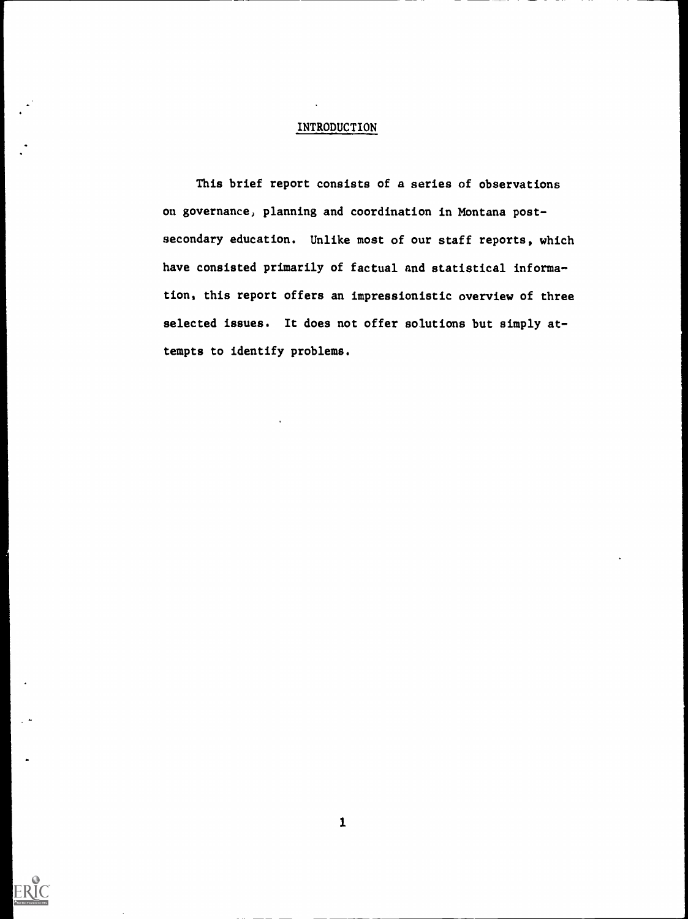# INTRODUCTION

This brief report consists of a series of observations on governance, planning and coordination in Montana postsecondary education. Unlike most of our staff reports, which have consisted primarily of factual and statistical information, this report offers an impressionistic overview of three selected issues. It does not offer solutions but simply attempts to identify problems.

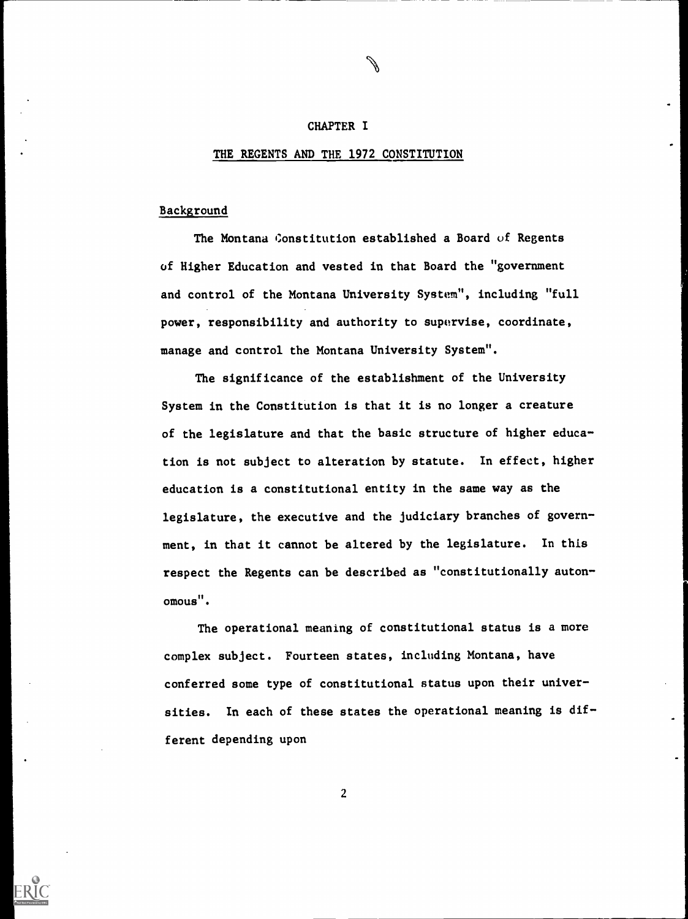## CHAPTER I

#### THE REGENTS AND THE 1972 CONSTITUTION

### Background

The Montana Constitution established a Board of Regents of Higher Education and vested in that Board the "government and control of the Montana University System", including "full power, responsibility and authority to supervise, coordinate, manage and control the Montana University System".

The significance of the establishment of the University System in the Constitution is that it is no longer a creature of the legislature and that the basic structure of higher education is not subject to alteration by statute. In effect, higher education is a constitutional entity in the same way as the legislature, the executive and the judiciary branches of government, in that it cannot be altered by the legislature. In this respect the Regents can be described as "constitutionally autonomous ".

The operational meaning of constitutional status is a more complex subject. Fourteen states, including Montana, have conferred some type of constitutional status upon their universities. In each of these states the operational meaning is different depending upon

 $\overline{2}$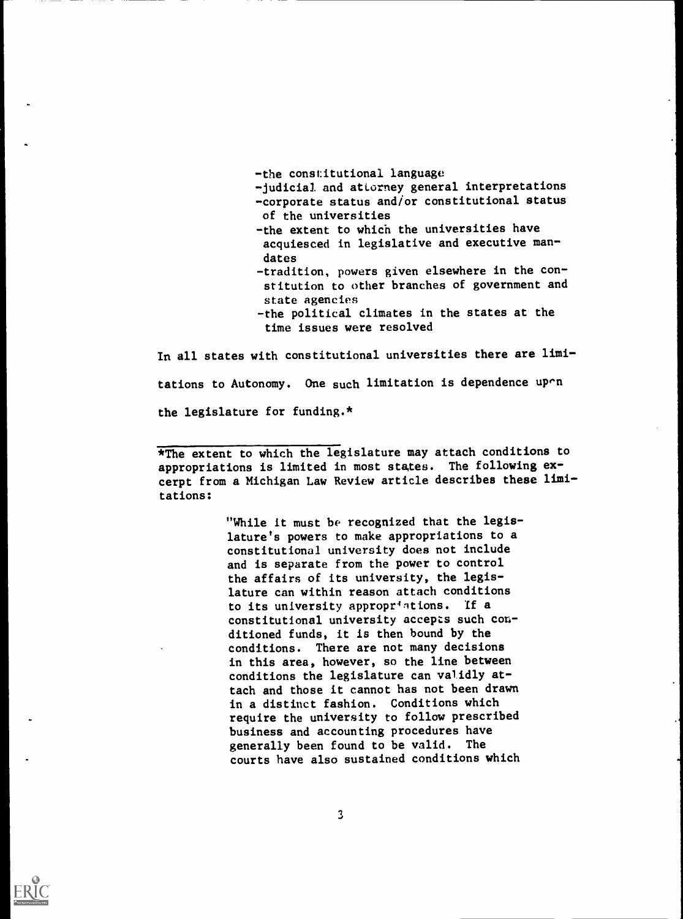-the constitutional language

- -judicial and attorney general interpretations -corporate status and/or constitutional status of the universities
- -the extent to which the universities have acquiesced in legislative and executive mandates
- -tradition, powers given elsewhere in the constitution to other branches of government and state agencies
- -the political climates in the states at the time issues were resolved

In all states with constitutional universities there are limitations to Autonomy. One such limitation is dependence upon the legislature for funding.\*

\*The extent to which the legislature may attach conditions to appropriations is limited in most states. The following excerpt from a Michigan Law Review article describes these limitations:

> "While it must be recognized that the legislature's powers to make appropriations to a constitutional university does not include and is separate from the power to control the affairs of its university, the legislature can within reason attach conditions to its university appropriations. If a constitutional university accepts such conditioned funds, it is then bound by the conditions. There are not many decisions in this area, however, so the line between conditions the legislature can validly attach and those it cannot has not been drawn in a distinct fashion. Conditions which require the university to follow prescribed business and accounting procedures have generally been found to be valid. The courts have also sustained conditions which

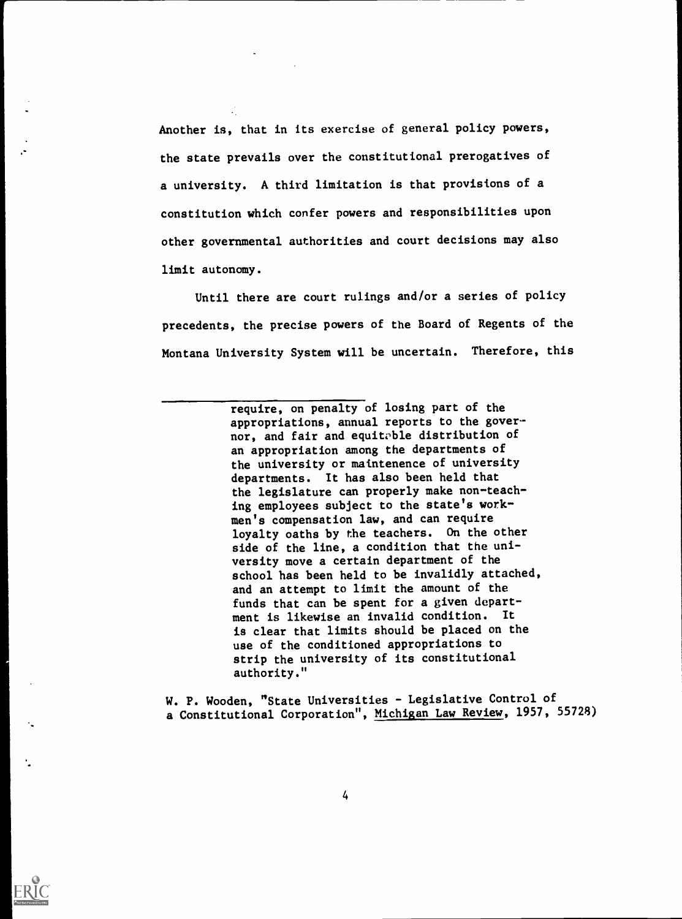Another is, that in its exercise of general policy powers, the state prevails over the constitutional prerogatives of a university. A third limitation is that provisions of a constitution which confer powers and responsibilities upon other governmental authorities and court decisions may also limit autonomy.

Until there are court rulings and/or a series of policy precedents, the precise powers of the Board of Regents of the Montana University System will be uncertain. Therefore, this

> require, on penalty of losing part of the appropriations, annual reports to the governor, and fair and equitable distribution of an appropriation among the departments of the university or maintenence of university departments. It has also been held that the legislature can properly make non-teaching employees subject to the state's workmen's compensation law, and can require loyalty oaths by the teachers. On the other side of the line, a condition that the university move a certain department of the school has been held to be invalidly attached, and an attempt to limit the amount of the funds that can be spent for a given department is likewise an invalid condition. It is clear that limits should be placed on the use of the conditioned appropriations to strip the university of its constitutional authority."

W. P. Wooden, "State Universities - Legislative Control of a Constitutional Corporation", Michigan Law Review, 1957, 55728)

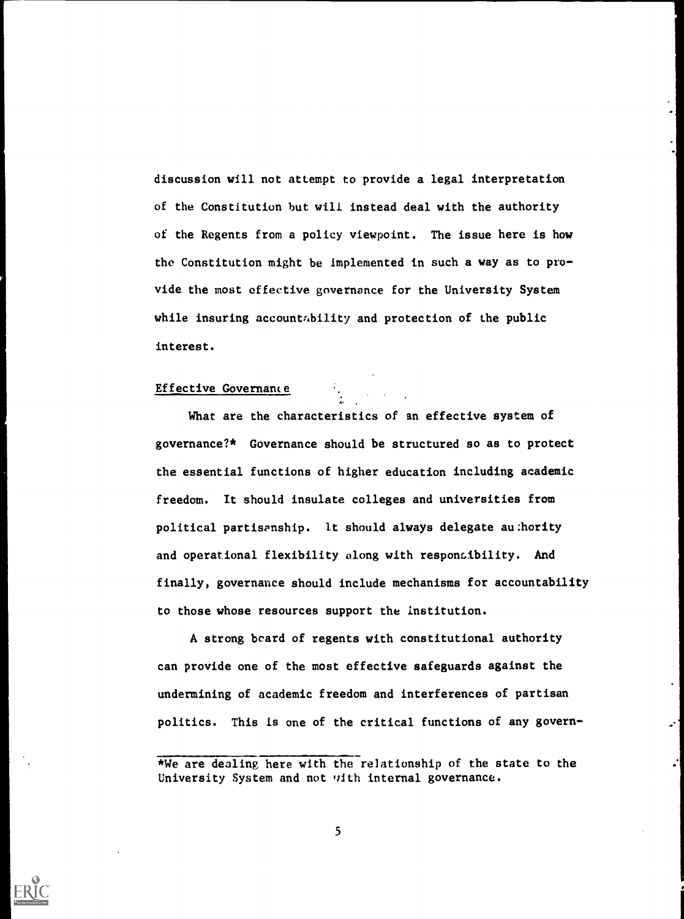discussion will not attempt to provide a legal interpretation of the Constitution but will instead deal with the authority of the Regents from a policy viewpoint. The issue here is how the Constitution might be implemented in such a way as to provide the most effective governance for the University System while insuring accountability and protection of the public interest.

At the property of the

#### Effective Governance

What are the characteristics of an effective system of governance?\* Governance should be structured so as to protect the essential functions of higher education including academic freedom. It should insulate colleges and universities from political partisanship. It should always delegate au hority and operational flexibility along with responsibility. And finally, governance should include mechanisms for accountability to those whose resources support the institution.

A strong beard of regents with constitutional authority can provide one of the most effective safeguards against the undermining of academic freedom and interferences of partisan politics. This Is one of the critical functions of any govern-



<sup>\*</sup>We are dealing here with the relationship of the state to the University System and not with internal governance.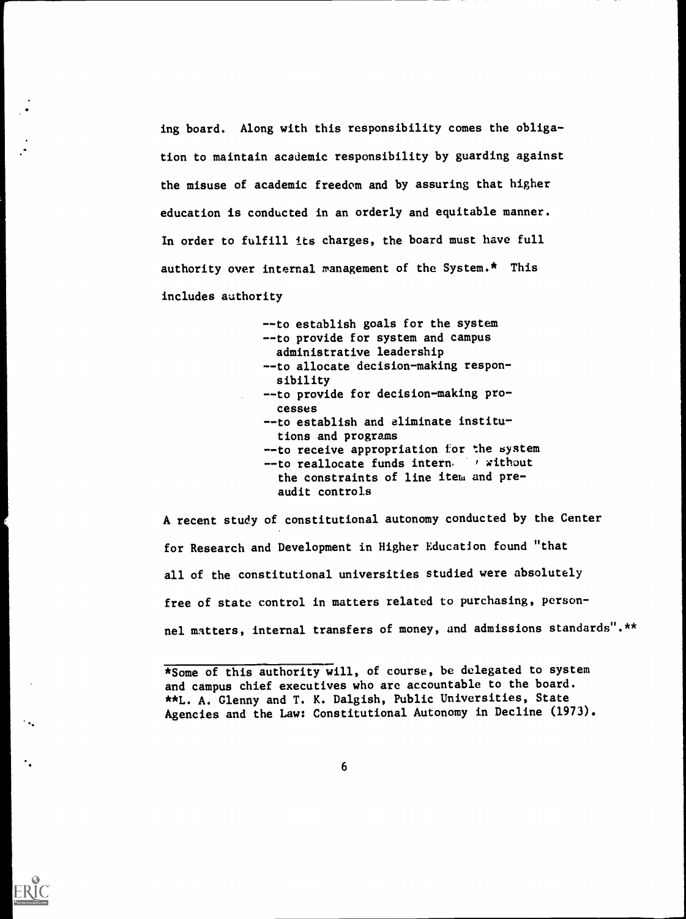ing board. Along with this responsibility comes the obligation to maintain academic responsibility by guarding against the misuse of academic freedom and by assuring that higher education is conducted in an orderly and equitable manner. In order to fulfill its charges, the board must have full authority over internal management of the System.\* This includes authority

> --to establish goals for the system --to provide for system and campus administrative leadership --to allocate decision-making responsibility -- to provide for decision-making processes --to establish and eliminate institutions and programs --to receive appropriation for the system --to reallocate funds intern. Without the constraints of line item and preaudit controls

A recent study of constitutional autonomy conducted by the Center for Research and Development in Higher Education found "that all of the constitutional universities studied were absolutely free of state control in matters related to purchasing, personnel matters, internal transfers of money, and admissions standards".\*\*

<sup>\*</sup>Some of this authority will, of course, be delegated to system and campus chief executives who are accountable to the board. \*\*L. A. Glenny and T. K. Dalgish, Public Universities, State Agencies and the Law: Constitutional Autonomy in Decline (1973).

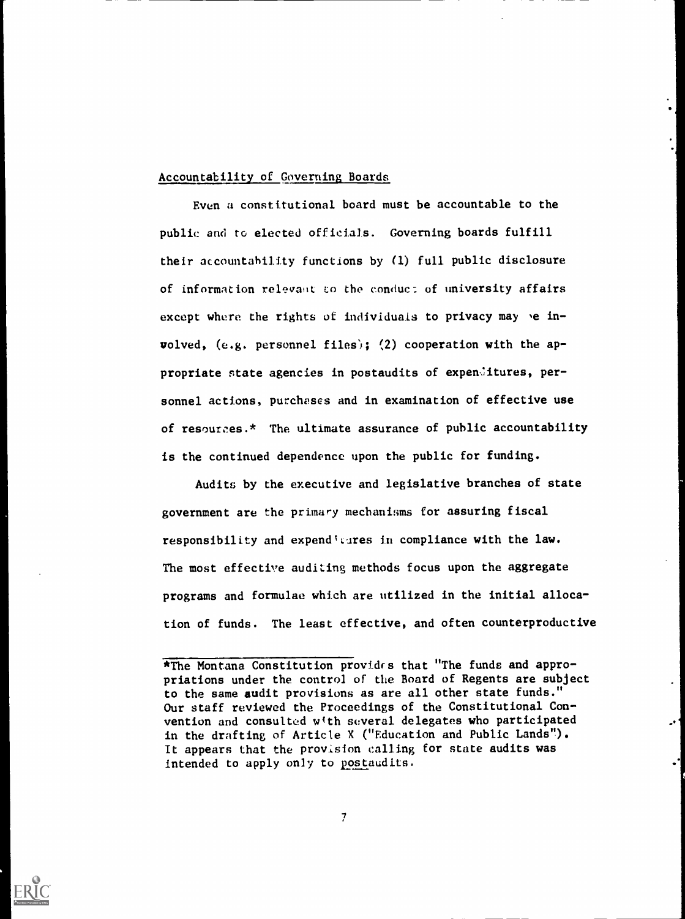### Accountability of Governing Boards

Even a constitutional board must be accountable to the public and to elected officials. Governing boards fulfill their accountability functions by (1) full public disclosure of information relevant to the conduct of university affairs except where the rights of individuals to privacy may  $ve$  involved, (e.g. personnel files); (2) cooperation with the appropriate state agencies in postaudits of expenditures, personnel actions, purchases and in examination of effective use of resources.\* The ultimate assurance of public accountability is the continued dependence upon the public for funding.

Audits by the executive and legislative branches of state government are the primary mechanisms for assuring fiscal responsibility and expenditures in compliance with the law. The most effective auditing methods focus upon the aggregate programs and formulae which are utilized in the initial allocation of funds. The least effective, and often counterproductive



 $\overline{7}$ 

<sup>\*</sup>The Montana Constitution providrs that "The funds and appropriations under the control of the Board of Regents are subject to the same audit provisions as are all other state funds." Our staff reviewed the Proceedings of the Constitutional Convention and consulted with several delegates who participated in the drafting of Article X ("Education and Public Lands"). It appears that the provision calling for state audits was intended to apply only to postaudits.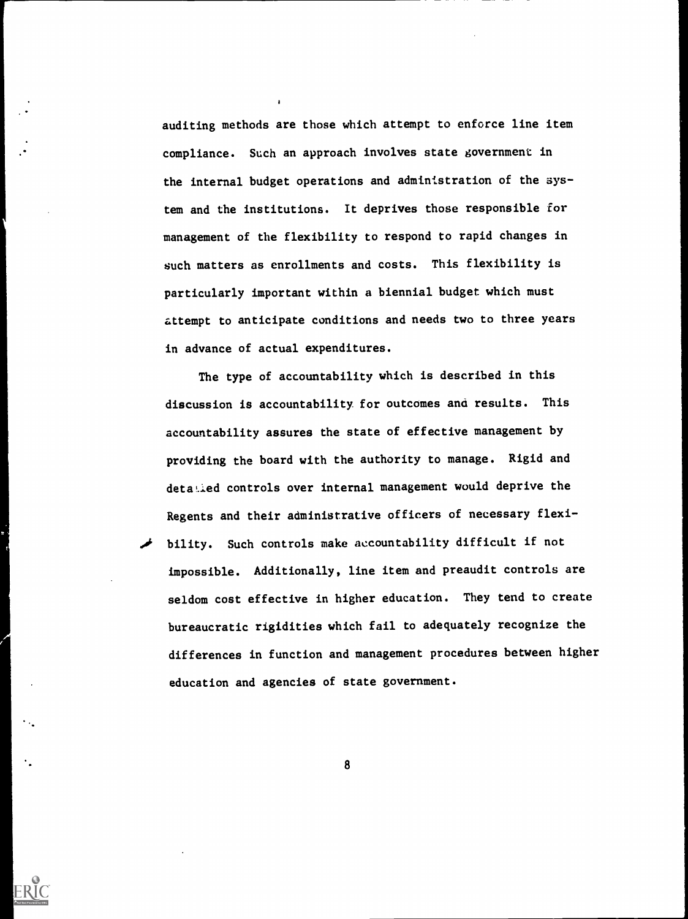auditing methods are those which attempt to enforce line item compliance. Such an approach involves state government in the internal budget operations and administration of the system and the institutions. It deprives those responsible for management of the flexibility to respond to rapid changes in such matters as enrollments and costs. This flexibility is particularly important within a biennial budget which must attempt to anticipate conditions and needs two to three years in advance of actual expenditures.

The type of accountability which is described in this discussion is accountability for outcomes and results. This accountability assures the state of effective management by providing the board with the authority to manage. Rigid and detal.ied controls over internal management would deprive the Regents and their administrative officers of necessary flexibility. Such controls make accountability difficult if not impossible. Additionally, line item and preaudit controls are seldom cost effective in higher education. They tend to create bureaucratic rigidities which fail to adequately recognize the differences in function and management procedures between higher education and agencies of state government.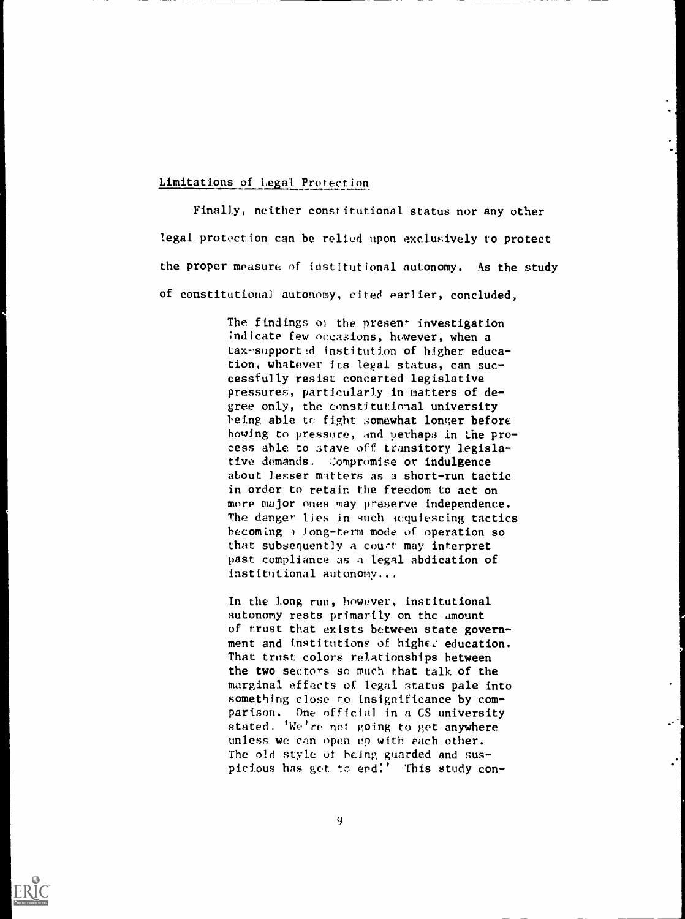## Limitations of Legal Protection

Finally, neither constitutional status nor any other legal protection can be relied upon exclusively to protect the proper measure of institutional autonomy. As the study of constitutional autonomy, cited earlier, concluded,

> The findings of the present investigation indicate few occasions, however, when a tax-supported institution of higher education, whatever ics legal status, can successfully resist concerted legislative pressures, particularly in matters of degree only, the constitutional university being able to fight somewhat longer before bowing to pressure, and perhap3 in the process able to stave off transitory legislative demands. Compromise or indulgence about lesser mtters as a short-run tactic in order to retain the freedom to act on more major ones may preserve independence. The danger lies in such  $t$ cquiescing tactics becoming a Jong-term mode of operation so that subsequently a court may interpret past compliance as a legal abdication of institutional autonomy...

In the long run, however, institutional autonomy rests primarily on the amount of trust that exists between state government and institutions of highez education. That trust colors relationships between the two sectors so much that talk of the marginal effects of legal status pale into something close to insignificance by comparison. One official in a CS university stated, 'We're not going to get anywhere unless we can open op with each other. The old style of being guarded and suspicious has got to end:' This study con-

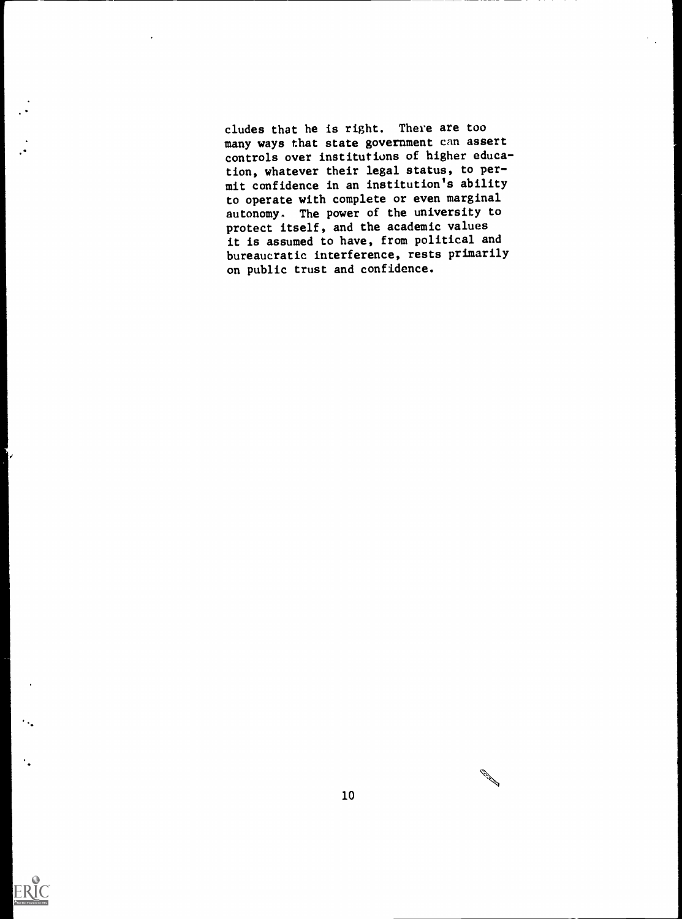cludes that he is right. There are too many ways that state government can assert controls over institutions of higher education, whatever their legal status, to permit confidence in an institution's ability to operate with complete or even marginal autonomy. The power of the university to protect itself, and the academic values it is assumed to have, from political and bureaucratic interference, rests primarily on public trust and confidence.

**CONTRACTOR** 

þ

**ERIC**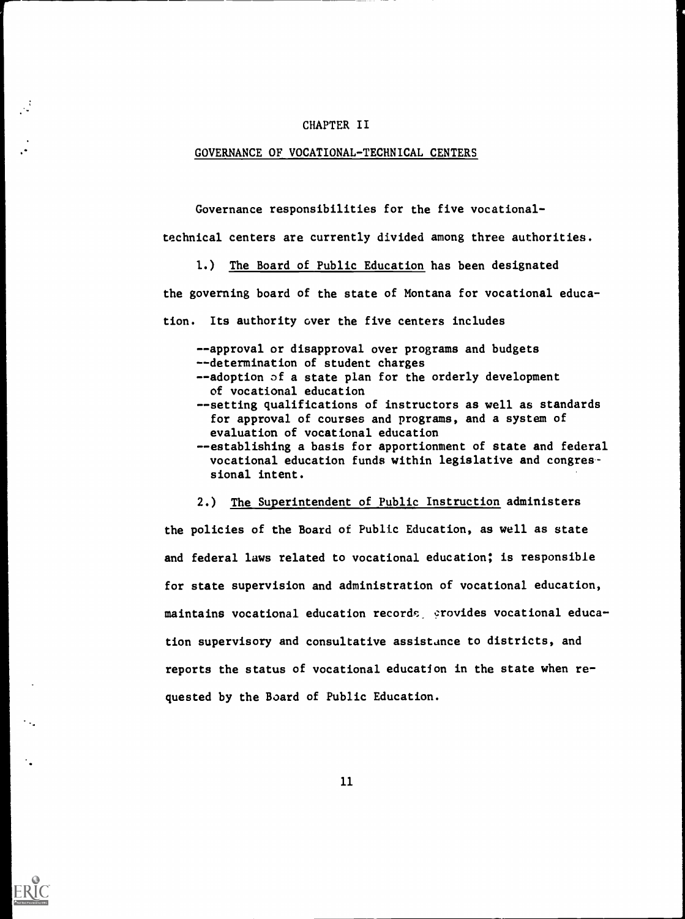#### CHAPTER II

#### GOVERNANCE OF VOCATIONAL-TECHNICAL CENTERS

Governance responsibilities for the five vocational-

technical centers are currently divided among three authorities.

1.) The Board of Public Education has been designated the governing board of the state of Montana for vocational education. Its authority over the five centers includes

--approval or disapproval over programs and budgets --determination of student charges --adoption of a state plan for the orderly development of vocational education

- --setting qualifications of instructors as well as standards for approval of courses and programs, and a system of evaluation of vocational education --establishing a basis for apportionment of state and federal
- vocational education funds within legislative and congressional intent.

#### 2.) The Superintendent of Public Instruction administers

the policies of the Board of Public Education, as well as state and federal laws related to vocational education; is responsible for state supervision and administration of vocational education, maintains vocational education records, erovides vocational education supervisory and consultative assistance to districts, and reports the status of vocational education in the state when requested by the Board of Public Education.

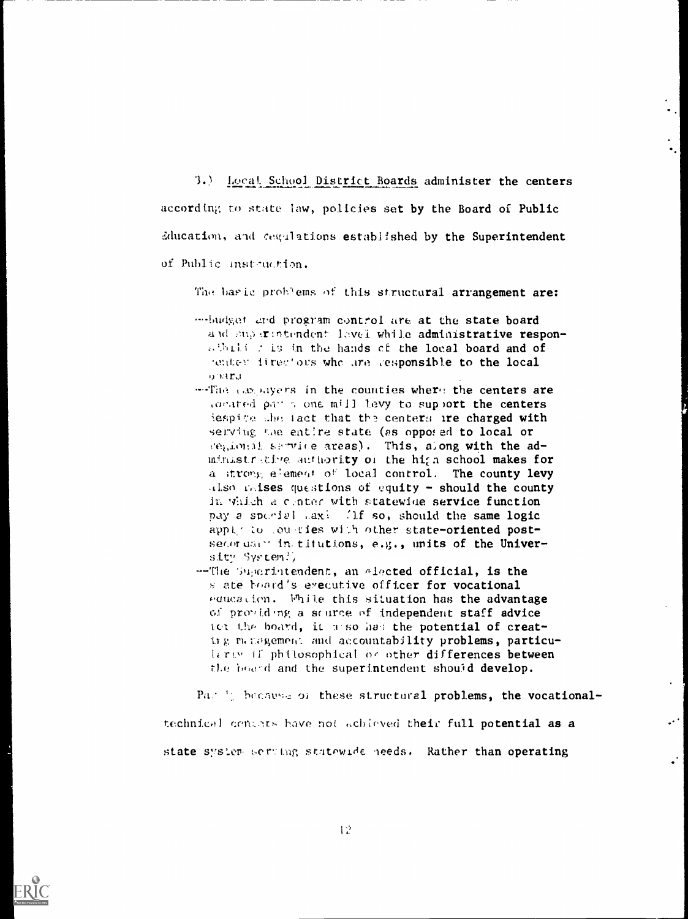3.) Local School District Boards administer the centers according to state law, policies set by the Board of Public ducation, and cegulations established by the Superintendent of Public inst-uttion.

The basic problems of this structural arrangement are:

- program control are at the state board and superintendent lavel while administrative respon-11. i : is in the hands of the local board and of render fires ous who are responsible to the local QAArJ
- --The Lax, ayers in the counties where the centers are ionated parts one mill levy to support the centers tespite the fact that the centers ire charged with serving the entire state (as opposed to local or segional service areas). This, along with the administrative authority of the high school makes for a strong element of local control. The county levy  $\mu$ lso caises questions of equity - should the county in which a center with statewide service function pay a sporial maxie (if so, should the same logic appirion ouncies with other state-oriented postsecordary in titutions, e.g., units of the University  $SysLemT$ ,
- --The Superintendent, an elected official, is the s ate board's eyecutive officer for vocational Puucation. While this situation has the advantage of prwri.d,ny. a scurce of independent staff advice tot the board, it also had the potential of creating m.r.ogement and accountability problems, particularty if philosophical or other differences between the board and the superintendent should develop.

Pa: 9; because of these structural problems, the vocationaltechnical centars have not achieved their full potential as a state system serving statewide heeds. Rather than operating

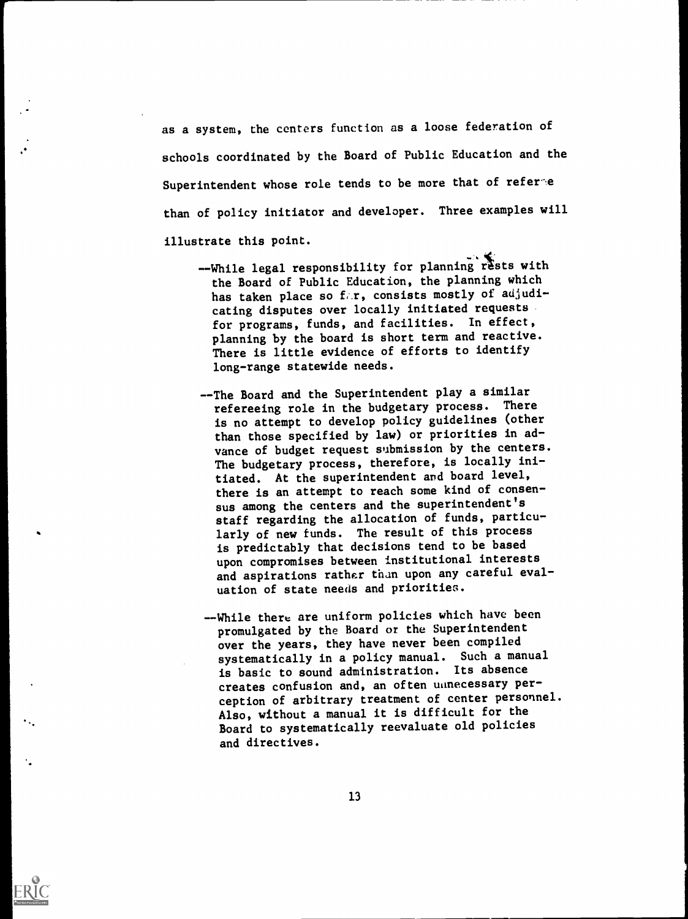as a system, the centers function as a loose federation of schools coordinated by the Board of Public Education and the Superintendent whose role tends to be more that of refere than of policy initiator and developer. Three examples will

illustrate this point.

- --While legal responsibility for planning rests with the Board of Public Education, the planning which has taken place so far, consists mostly of adjudicating disputes over locally initiated requests for programs, funds, and facilities. In effect, planning by the board is short term and reactive. There is little evidence of efforts to identify long-range statewide needs.
- --The Board and the Superintendent play a similar refereeing role in the budgetary process. There is no attempt to develop policy guidelines (other than those specified by law) or priorities in advance of budget request submission by the centers. The budgetary process, therefore, is locally initiated. At the superintendent and board level, there is an attempt to reach some kind of consensus among the centers and the superintendent's staff regarding the allocation of funds, particularly of new funds. The result of this process is predictably that decisions tend to be based upon compromises between institutional interests and aspirations rather than upon any careful evaluation of state needs and priorities.
- --While there are uniform policies which have been promulgated by the Board or the Superintendent over the years, they have never been compiled systematically in a policy manual. Such a manual is basic to sound administration. Its absence creates confusion and, an often unnecessary perception of arbitrary treatment of center personnel. Also, without a manual it is difficult for the Board to systematically reevaluate old policies and directives.

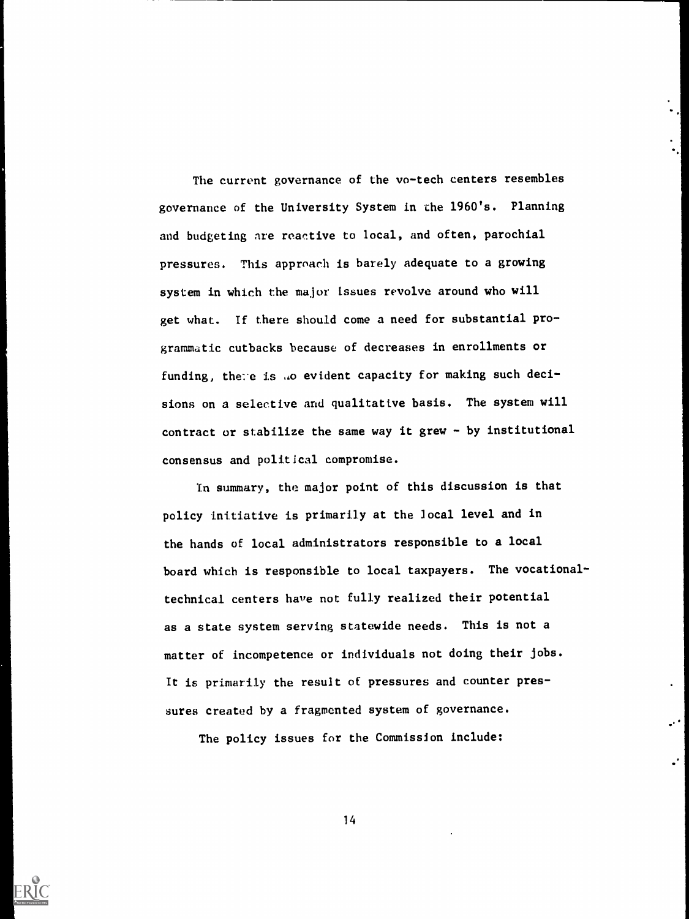The current governance of the vo-tech centers resembles governance of the University System in the 1960's. Planning and budgeting are reactive to local, and often, parochial pressures. This approach is barely adequate to a growing system in which the major Issues revolve around who will get what. If there should come a need for substantial programmatic cutbacks because of decreases in enrollments or funding, there is  $\mu$ o evident capacity for making such decisions on a selective and qualitative basis. The system will contract or stabilize the same way it grew - by institutional consensus and political compromise.

In summary, the major point of this discussion is that policy initiative is primarily at the local level and in the hands of local administrators responsible to a local board which is responsible to local taxpayers. The vocationaltechnical centers have not fully realized their potential as a state system serving statewide needs. This is not a matter of incompetence or individuals not doing their jobs. It is primarily the result of pressures and counter pressures created by a fragmented system of governance.

The policy issues for the Commission include: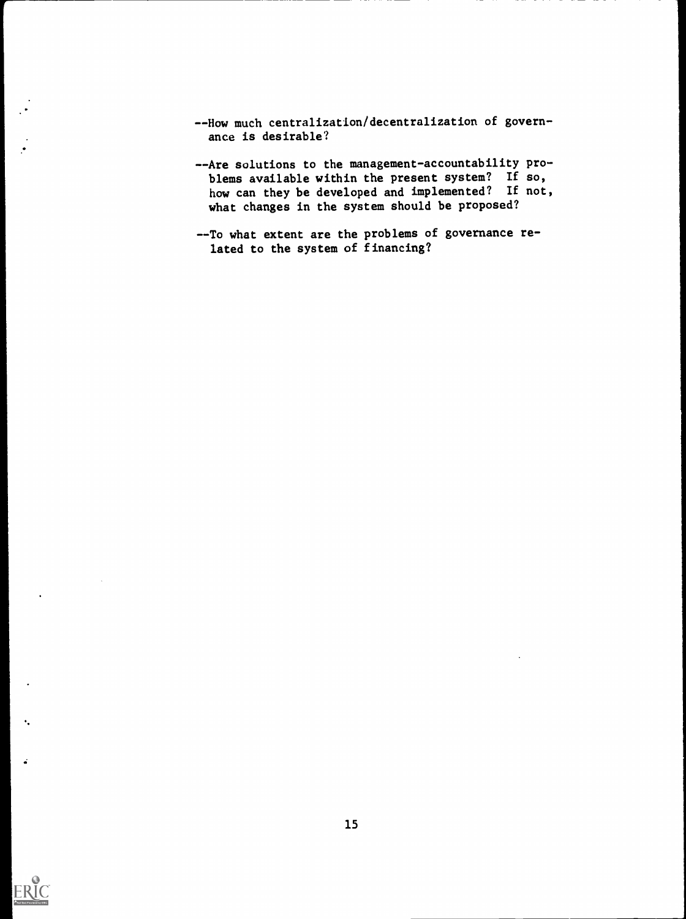- --How much centralization/decentralization of governance is desirable?
- --Are solutions to the management-accountability problems available within the present system? If so, how can they be developed and implemented? If not, what changes in the system should be proposed?
- --To what extent are the problems of governance related to the system of financing?



 $\bullet$  .

ä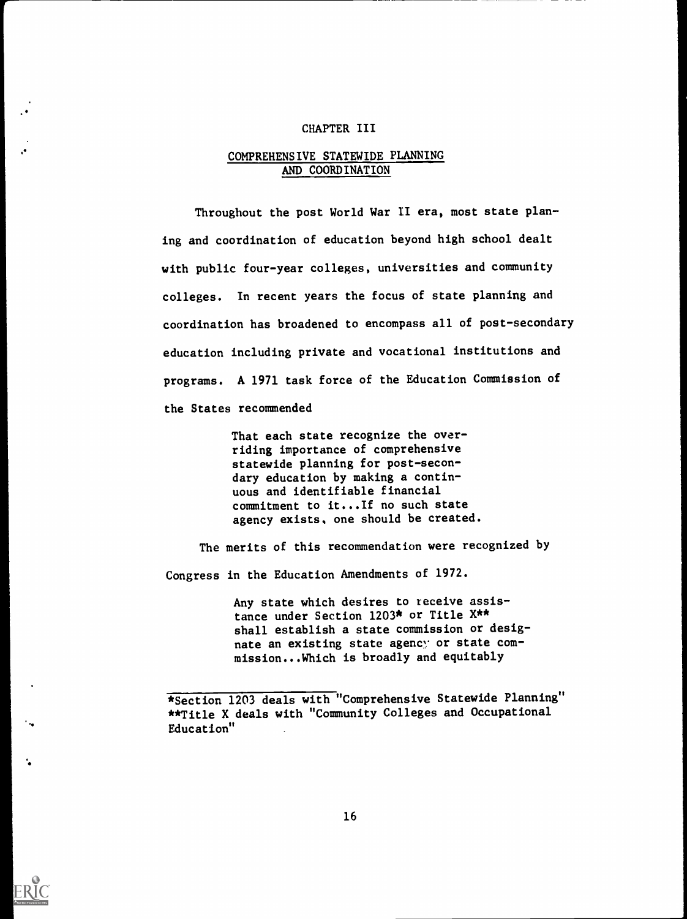#### CHAPTER III

## COMPREHENSIVE STATEWIDE PLANNING AND COORDINATION

Throughout the post World War II era, most state planing and coordination of education beyond high school dealt with public four-year colleges, universities and community colleges. In recent years the focus of state planning and coordination has broadened to encompass all of post-secondary education including private and vocational institutions and programs. A 1971 task force of the Education Commission of the States recommended

> That each state recognize the overriding importance of comprehensive statewide planning for post-secondary education by making a continuous and identifiable financial commitment to it...If no such state agency exists. one should be created.

The merits of this recommendation were recognized by Congress in the Education Amendments of 1972.

> Any state which desires to receive assistance under Section 1203\* or Title X\*\* shall establish a state commission or designate an existing state agency or state commission...Which is broadly and equitably

\*Section 1203 deals with "Comprehensive Statewide Planning" \*\*Title X deals with "Community Colleges and Occupational Education"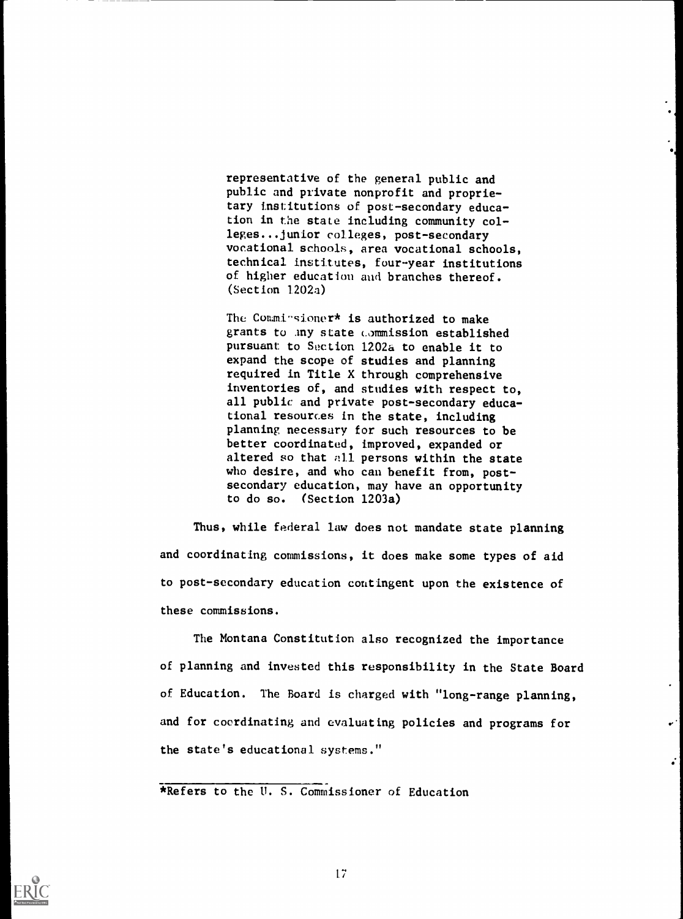representative of the general public and public and private nonprofit and proprietary institutions of post-secondary education in the state including community colleges...junior colleges, post-secondary vocational schools, area vocational schools, technical institutes, four-year institutions of higher education and branches thereof. (Section 1202a)

The Comminsioner\* is authorized to make grants to any state commission established pursuant to Section 1202a to enable it to expand the scope of studies and planning required in Title X through comprehensive inventories of, and studies with respect to, all public and private post-secondary educational resources in the state, including planning necessary for such resources to be better coordinated, improved, expanded or altered so that all persons within the state who desire, and who can benefit from, postsecondary education, may have an opportunity to do so. (Section 1203a)

Thus, while federal law does not mandate state planning and coordinating commissions, it does make some types of aid to post-secondary education contingent upon the existence of these commissions.

The Montana Constitution also recognized the importance of planning and invested this responsibility in the State Board of Education. The Board is charged with "long-range planning, and for coordinating and evaluating policies and programs for the state's educational systems."

÷.

\*Refers to the U. S. Commissioner of Education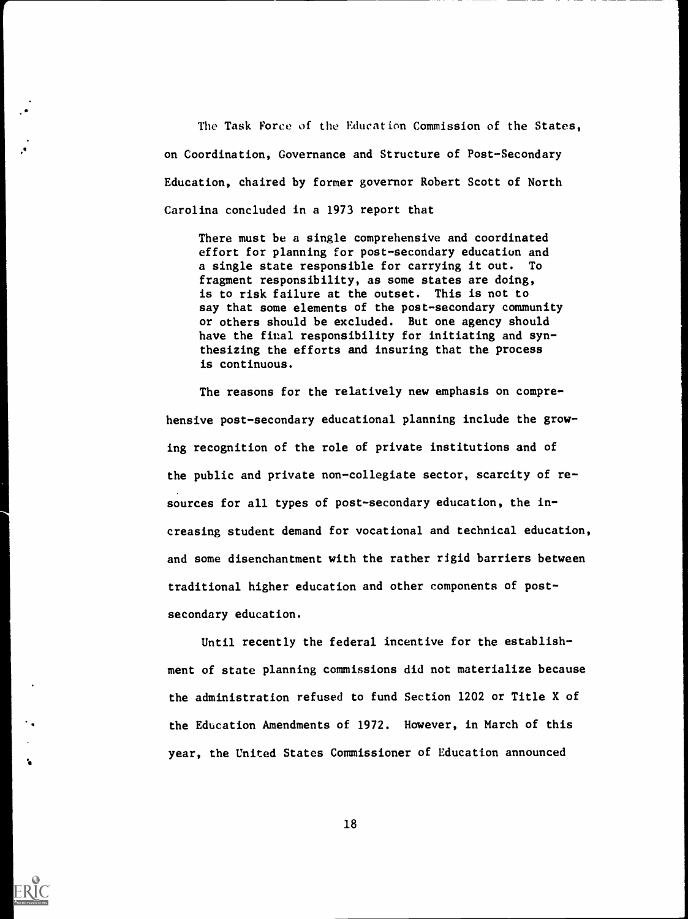The Task Force of the Education Commission of the States, on Coordination, Governance and Structure of Post-Secondary Education, chaired by former governor Robert Scott of North Carolina concluded in a 1973 report that

There must be a single comprehensive and coordinated effort for planning for post-secondary education and a single state responsible for carrying it out. To fragment responsibility, as some states are doing, is to risk failure at the outset. This is not to say that some elements of the post-secondary community or others should be excluded. But one agency should have the final responsibility for initiating and synthesizing the efforts and insuring that the process is continuous.

The reasons for the relatively new emphasis on comprehensive post-secondary educational planning include the growing recognition of the role of private institutions and of the public and private non-collegiate sector, scarcity of resources for all types of post-secondary education, the increasing student demand for vocational and technical education, and some disenchantment with the rather rigid barriers between traditional higher education and other components of postsecondary education.

Until recently the federal incentive for the establishment of state planning commissions did not materialize because the administration refused to fund Section 1202 or Title X of the Education Amendments of 1972. However, in March of this year, the United States Commissioner of Education announced

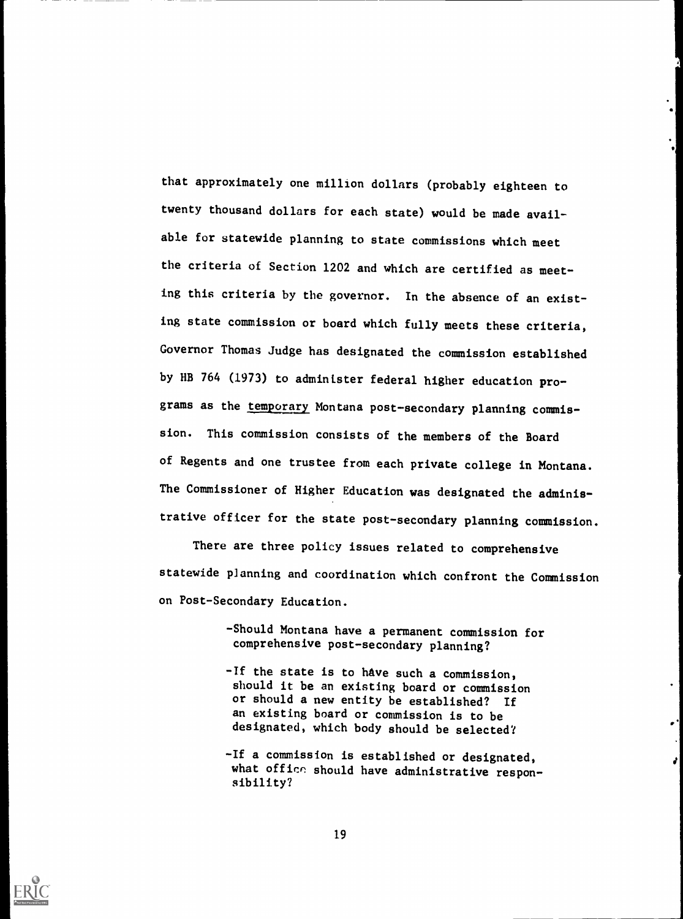that approximately one million dollars (probably eighteen to twenty thousand dollars for each state) would be made available for statewide planning to state commissions which meet the criteria of Section 1202 and which are certified as meeting this criteria by the governor. In the absence of an existing state commission or board which fully meets these criteria, Governor Thomas Judge has designated the commission established by HB 764 (1973) to administer federal higher education programs as the temporary Montana post-secondary planning commission. This commission consists of the members of the Board of Regents and one trustee from each private college in Montana. The Commissioner of Higher Education was designated the administrative officer for the state post-secondary planning commission.

There are three policy issues related to comprehensive statewide planning and coordination which confront the Commission on Post-Secondary Education.

> -Should Montana have a permanent commission for comprehensive post-secondary planning?

-If the state is to have such a commission, should it be an existing board or commission or should a new entity be established? If an existing board or commission is to be designated, which body should be selected?

-If a commission is established or designated, what office should have administrative responsibility?

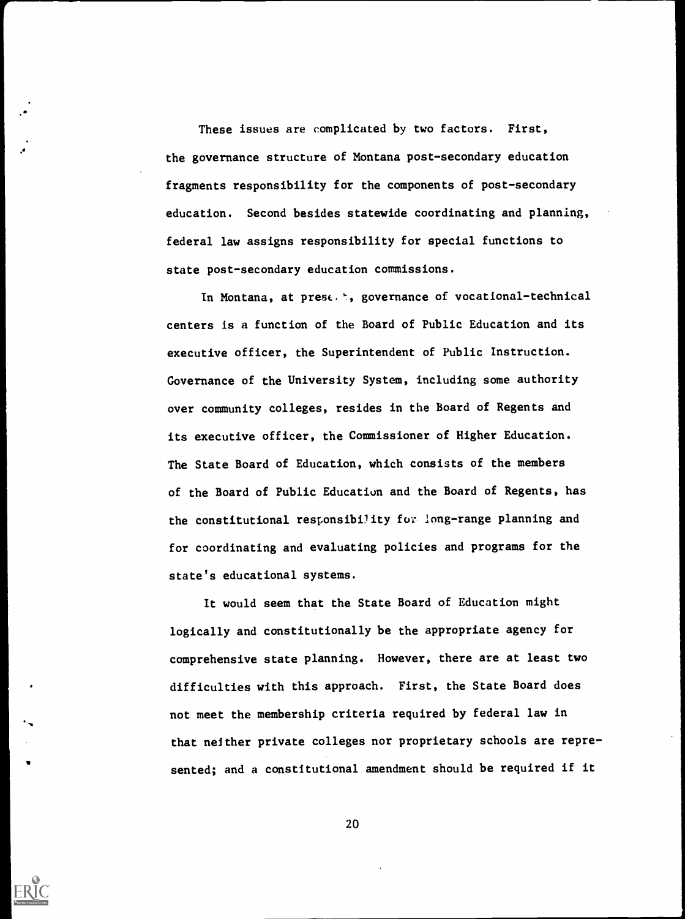These issues are complicated by two factors. First, the governance structure of Montana post-secondary education fragments responsibility for the components of post-secondary education. Second besides statewide coordinating and planning, federal law assigns responsibility for special functions to state post-secondary education commissions.

In Montana, at prese.  $\cdot$ , governance of vocational-technical centers is a function of the Board of Public Education and its executive officer, the Superintendent of Public Instruction. Governance of the University System, including some authority over community colleges, resides in the Board of Regents and its executive officer, the Commissioner of Higher Education. The State Board of Education, which consists of the members of the Board of Public Education and the Board of Regents, has the constitutional responsibility for long-range planning and for coordinating and evaluating policies and programs for the state's educational systems.

It would seem that the State Board of Education might logically and constitutionally be the appropriate agency for comprehensive state planning. However, there are at least two difficulties with this approach. First, the State Board does not meet the membership criteria required by federal law in that neither private colleges nor proprietary schools are represented; and a constitutional amendment should be required if it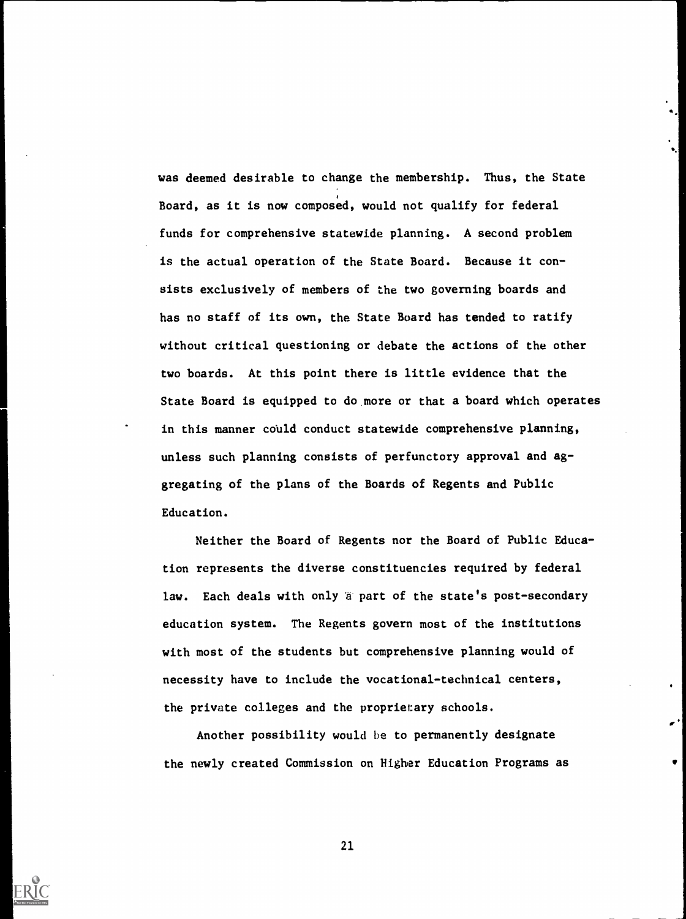was deemed desirable to change the membership. Thus, the State Board, as it is now composed, would not qualify for federal funds for comprehensive statewide planning. A second problem is the actual operation of the State Board. Because it consists exclusively of members of the two governing boards and has no staff of its own, the State Board has tended to ratify without critical questioning or debate the actions of the other two boards. At this point there is little evidence that the State Board is equipped to do more or that a board which operates in this manner could conduct statewide comprehensive planning, unless such planning consists of perfunctory approval and aggregating of the plans of the Boards of Regents and Public Education.

Neither the Board of Regents nor the Board of Public Education represents the diverse constituencies required by federal law. Each deals with only a part of the state's post-secondary education system. The Regents govern most of the institutions with most of the students but comprehensive planning would of necessity have to include the vocational-technical centers, the private colleges and the proprietary schools.

Another possibility would be to permanently designate the newly created Commission on Higher Education Programs as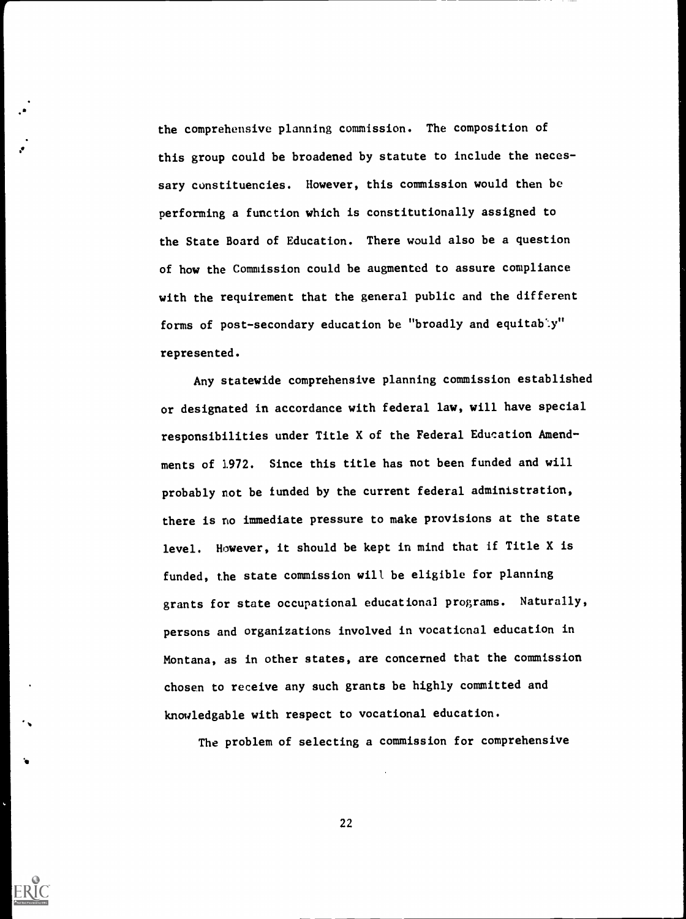the comprehensive planning commission. The composition of this group could be broadened by statute to include the necessary constituencies. However, this commission would then be performing a function which is constitutionally assigned to the State Board of Education. There would also be a question of how the Commission could be augmented to assure compliance with the requirement that the general public and the different forms of post-secondary education be "broadly and equitab'.y" represented.

Any statewide comprehensive planning commission established or designated in accordance with federal law, will have special responsibilities under Title X of the Federal Education Amendments of 1972. Since this title has not been funded and will probably not be funded by the current federal administration, there is no immediate pressure to make provisions at the state level. However, it should be kept in mind that if Title X is funded, the state commission will be eligible for planning grants for state occupational educational programs. Naturally, persons and organizations involved in vocational education in Montana, as in other states, are concerned that the commission chosen to receive any such grants be highly committed and knowledgable with respect to vocational education.

The problem of selecting a commission for comprehensive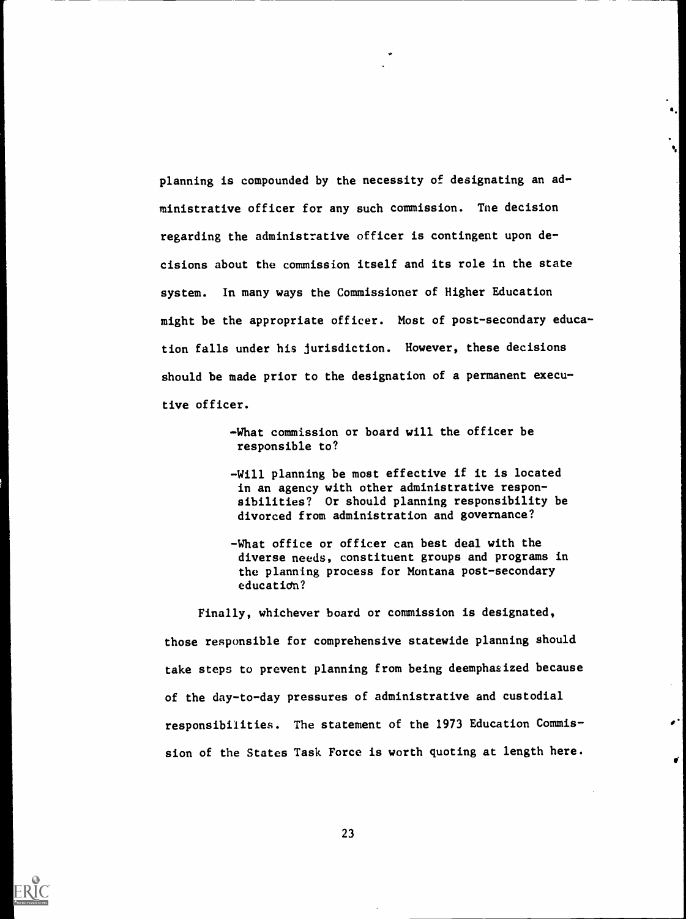planning is compounded by the necessity of designating an administrative officer for any such commission. Tne decision regarding the administrative officer is contingent upon decisions about the commission itself and its role in the state system. In many ways the Commissioner of Higher Education might be the appropriate officer. Most of post-secondary education falls under his jurisdiction. However, these decisions should be made prior to the designation of a permanent executive officer.

a.

- -What commission or board will the officer be responsible to?
- -Will planning be most effective if it is located in an agency with other administrative responsibilities? Or should planning responsibility be divorced from administration and governance?
- -What office or officer can best deal with the diverse needs, constituent groups and programs in the planning process for Montana post-secondary educatidn?

Finally, whichever board or commission is designated, those responsible for comprehensive statewide planning should take steps to prevent planning from being deemphasized because of the day-to-day pressures of administrative and custodial responsibilities. The statement of the 1973 Education Commission of the States Task Force is worth quoting at length here.

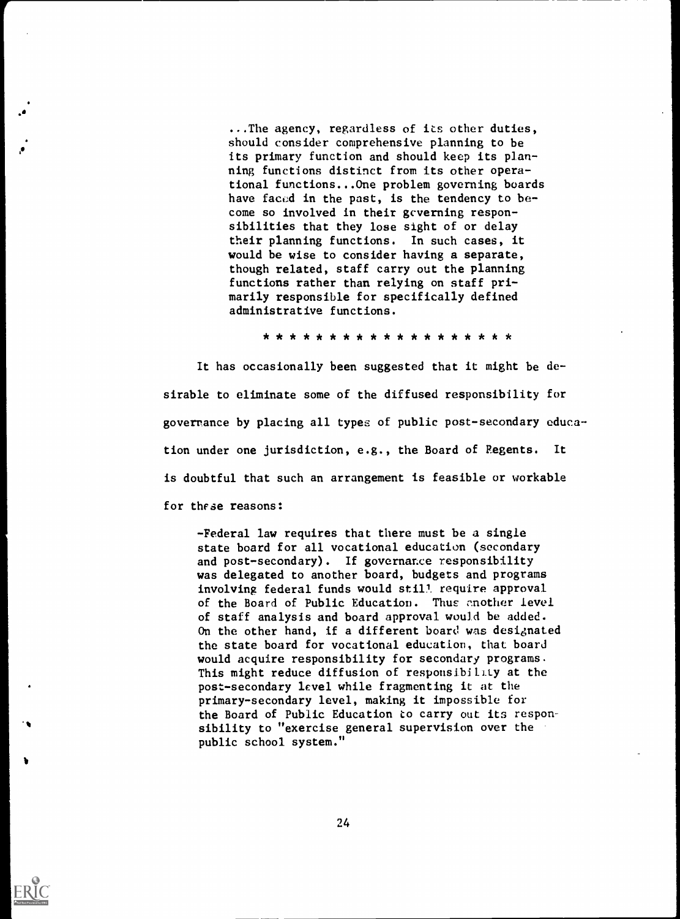...The agency, regardless of its other duties, should consider comprehensive planning to be its primary function and should keep its planning functions distinct from its other operational functions...One problem governing boards have faced in the past, is the tendency to become so involved in their governing responsibilities that they lose sight of or delay their planning functions. In such cases, it would be wise to consider having a separate, though related, staff carry out the planning functions rather than relying on staff primarily responsible for specifically defined administrative functions.

\* \* \* \* \* \* \* \* \* \* \* \* \* \* \* \* \* \*

It has occasionally been suggested that it might be desirable to eliminate some of the diffused responsibility for goverance by placing all types of public post-secondary education under one jurisdiction, e.g., the Board of Regents. It is doubtful that such an arrangement is feasible or workable for these reasons:

-Federal law requires that there must be a single state board for all vocational education (secondary and post-secondary). If governance responsibility was delegated to another board, budgets and programs involving federal funds would still. require approval of the Board of Public Education. Thus another level of staff analysis and board approval would be added. On the other hand, if a different board was designated the state board for vocational education, that board would acquire responsibility for secondary programs. This might reduce diffusion of responsibility at the post-secondary level while fragmenting it at the primary-secondary level, making it impossible for the Board of Public Education to carry out its responsibility to "exercise general supervision over the public school system."